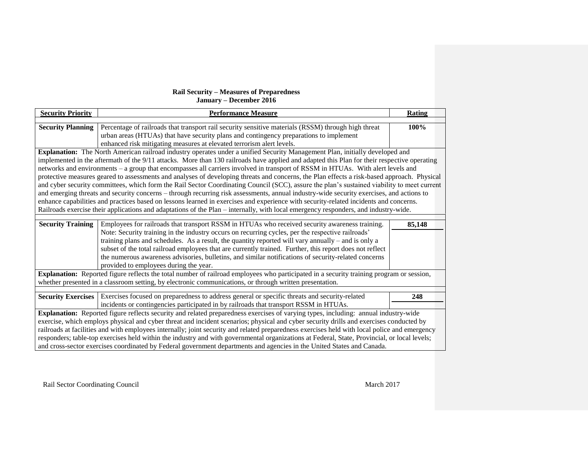## **Rail Security – Measures of Preparedness January – December 2016**

| <b>Security Priority</b>                                                                                                                      | <b>Performance Measure</b>                                                                                                                                                                    | <b>Rating</b> |  |  |
|-----------------------------------------------------------------------------------------------------------------------------------------------|-----------------------------------------------------------------------------------------------------------------------------------------------------------------------------------------------|---------------|--|--|
| <b>Security Planning</b>                                                                                                                      | Percentage of railroads that transport rail security sensitive materials (RSSM) through high threat<br>urban areas (HTUAs) that have security plans and contingency preparations to implement | 100%          |  |  |
|                                                                                                                                               | enhanced risk mitigating measures at elevated terrorism alert levels.                                                                                                                         |               |  |  |
| Explanation: The North American railroad industry operates under a unified Security Management Plan, initially developed and                  |                                                                                                                                                                                               |               |  |  |
| implemented in the aftermath of the 9/11 attacks. More than 130 railroads have applied and adapted this Plan for their respective operating   |                                                                                                                                                                                               |               |  |  |
| networks and environments – a group that encompasses all carriers involved in transport of RSSM in HTUAs. With alert levels and               |                                                                                                                                                                                               |               |  |  |
| protective measures geared to assessments and analyses of developing threats and concerns, the Plan effects a risk-based approach. Physical   |                                                                                                                                                                                               |               |  |  |
| and cyber security committees, which form the Rail Sector Coordinating Council (SCC), assure the plan's sustained viability to meet current   |                                                                                                                                                                                               |               |  |  |
| and emerging threats and security concerns – through recurring risk assessments, annual industry-wide security exercises, and actions to      |                                                                                                                                                                                               |               |  |  |
| enhance capabilities and practices based on lessons learned in exercises and experience with security-related incidents and concerns.         |                                                                                                                                                                                               |               |  |  |
| Railroads exercise their applications and adaptations of the Plan – internally, with local emergency responders, and industry-wide.           |                                                                                                                                                                                               |               |  |  |
| <b>Security Training</b>                                                                                                                      | Employees for railroads that transport RSSM in HTUAs who received security awareness training.                                                                                                | 85,148        |  |  |
|                                                                                                                                               | Note: Security training in the industry occurs on recurring cycles, per the respective railroads'                                                                                             |               |  |  |
|                                                                                                                                               | training plans and schedules. As a result, the quantity reported will vary annually – and is only a                                                                                           |               |  |  |
|                                                                                                                                               | subset of the total railroad employees that are currently trained. Further, this report does not reflect                                                                                      |               |  |  |
|                                                                                                                                               | the numerous awareness advisories, bulletins, and similar notifications of security-related concerns                                                                                          |               |  |  |
|                                                                                                                                               | provided to employees during the year.                                                                                                                                                        |               |  |  |
| Explanation: Reported figure reflects the total number of railroad employees who participated in a security training program or session,      |                                                                                                                                                                                               |               |  |  |
| whether presented in a classroom setting, by electronic communications, or through written presentation.                                      |                                                                                                                                                                                               |               |  |  |
|                                                                                                                                               | <b>Security Exercises</b> Exercises focused on preparedness to address general or specific threats and security-related                                                                       | 248           |  |  |
|                                                                                                                                               | incidents or contingencies participated in by railroads that transport RSSM in HTUAs.                                                                                                         |               |  |  |
|                                                                                                                                               | Explanation: Reported figure reflects security and related preparedness exercises of varying types, including: annual industry-wide                                                           |               |  |  |
| exercise, which employs physical and cyber threat and incident scenarios; physical and cyber security drills and exercises conducted by       |                                                                                                                                                                                               |               |  |  |
| railroads at facilities and with employees internally; joint security and related preparedness exercises held with local police and emergency |                                                                                                                                                                                               |               |  |  |
| responders; table-top exercises held within the industry and with governmental organizations at Federal, State, Provincial, or local levels;  |                                                                                                                                                                                               |               |  |  |
| and cross-sector exercises coordinated by Federal government departments and agencies in the United States and Canada.                        |                                                                                                                                                                                               |               |  |  |

Rail Sector Coordinating Council March 2017